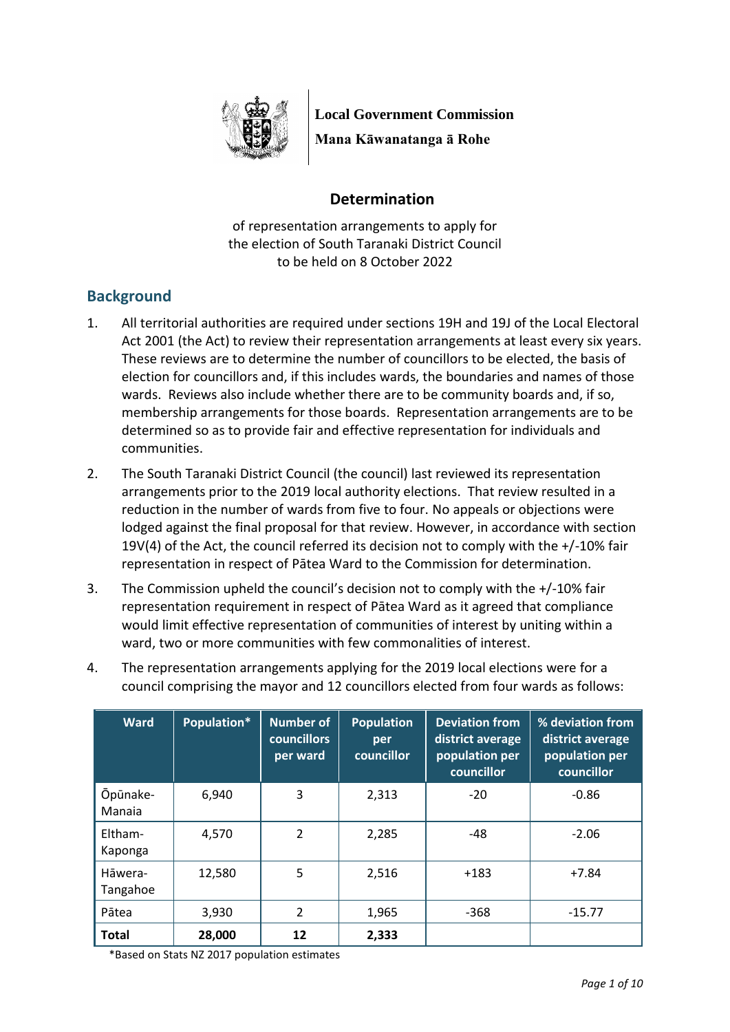

**Local Government Commission**

**Mana Kāwanatanga ā Rohe**

# **Determination**

of representation arrangements to apply for the election of South Taranaki District Council to be held on 8 October 2022

# **Background**

- 1. All territorial authorities are required under sections 19H and 19J of the Local Electoral Act 2001 (the Act) to review their representation arrangements at least every six years. These reviews are to determine the number of councillors to be elected, the basis of election for councillors and, if this includes wards, the boundaries and names of those wards. Reviews also include whether there are to be community boards and, if so, membership arrangements for those boards. Representation arrangements are to be determined so as to provide fair and effective representation for individuals and communities.
- 2. The South Taranaki District Council (the council) last reviewed its representation arrangements prior to the 2019 local authority elections. That review resulted in a reduction in the number of wards from five to four. No appeals or objections were lodged against the final proposal for that review. However, in accordance with section 19V(4) of the Act, the council referred its decision not to comply with the +/-10% fair representation in respect of Pātea Ward to the Commission for determination.
- 3. The Commission upheld the council's decision not to comply with the +/-10% fair representation requirement in respect of Pātea Ward as it agreed that compliance would limit effective representation of communities of interest by uniting within a ward, two or more communities with few commonalities of interest.
- 4. The representation arrangements applying for the 2019 local elections were for a council comprising the mayor and 12 councillors elected from four wards as follows:

| <b>Ward</b>         | Population* | <b>Number of</b><br><b>councillors</b><br>per ward | <b>Population</b><br>per<br>councillor | <b>Deviation from</b><br>district average<br>population per<br>councillor | % deviation from<br>district average<br>population per<br>councillor |
|---------------------|-------------|----------------------------------------------------|----------------------------------------|---------------------------------------------------------------------------|----------------------------------------------------------------------|
| Ōpūnake-<br>Manaia  | 6,940       | 3                                                  | 2,313                                  | $-20$                                                                     | $-0.86$                                                              |
| Eltham-<br>Kaponga  | 4,570       | $\overline{2}$                                     | 2,285                                  | $-48$                                                                     | $-2.06$                                                              |
| Hāwera-<br>Tangahoe | 12,580      | 5                                                  | 2,516                                  | $+183$                                                                    | $+7.84$                                                              |
| Pātea               | 3,930       | 2                                                  | 1,965                                  | $-368$                                                                    | $-15.77$                                                             |
| <b>Total</b>        | 28,000      | 12                                                 | 2,333                                  |                                                                           |                                                                      |

\*Based on Stats NZ 2017 population estimates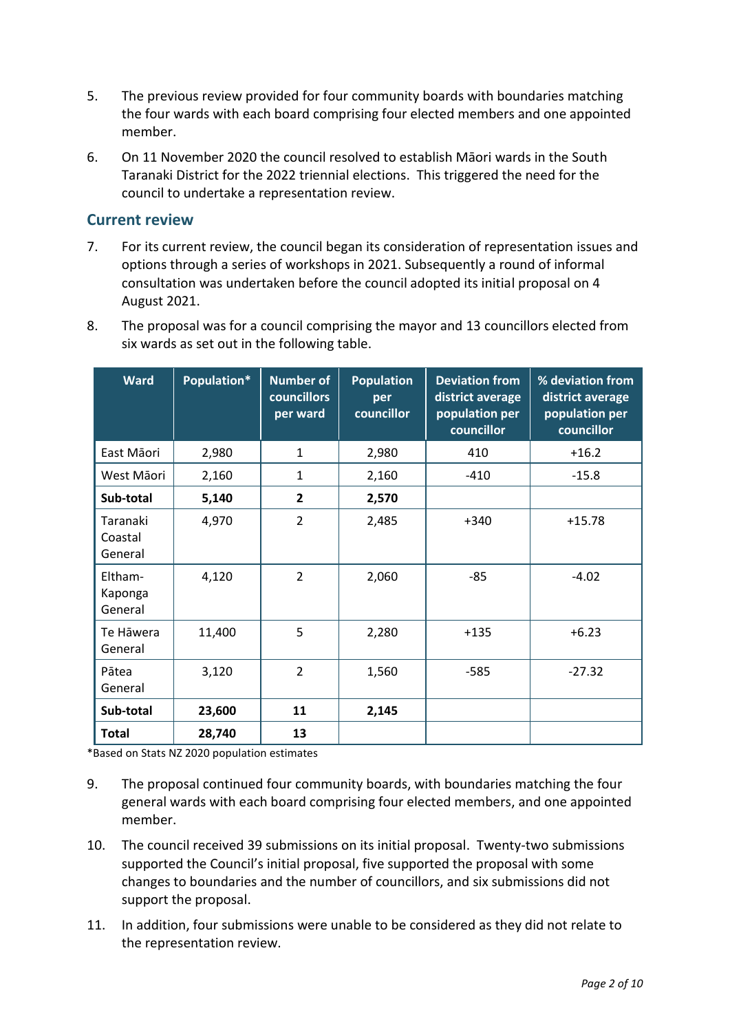- 5. The previous review provided for four community boards with boundaries matching the four wards with each board comprising four elected members and one appointed member.
- 6. On 11 November 2020 the council resolved to establish Māori wards in the South Taranaki District for the 2022 triennial elections. This triggered the need for the council to undertake a representation review.

## **Current review**

- 7. For its current review, the council began its consideration of representation issues and options through a series of workshops in 2021. Subsequently a round of informal consultation was undertaken before the council adopted its initial proposal on 4 August 2021.
- 8. The proposal was for a council comprising the mayor and 13 councillors elected from six wards as set out in the following table.

| <b>Ward</b>                    | Population* | <b>Number of</b><br><b>councillors</b><br>per ward | <b>Population</b><br>per<br>councillor | <b>Deviation from</b><br>district average<br>population per<br>councillor | % deviation from<br>district average<br>population per<br>councillor |
|--------------------------------|-------------|----------------------------------------------------|----------------------------------------|---------------------------------------------------------------------------|----------------------------------------------------------------------|
| East Māori                     | 2,980       | $\mathbf{1}$                                       | 2,980                                  | 410                                                                       | $+16.2$                                                              |
| West Māori                     | 2,160       | 1                                                  | 2,160                                  | $-410$                                                                    | $-15.8$                                                              |
| Sub-total                      | 5,140       | $\overline{2}$                                     | 2,570                                  |                                                                           |                                                                      |
| Taranaki<br>Coastal<br>General | 4,970       | $\overline{2}$                                     | 2,485                                  | $+340$                                                                    | $+15.78$                                                             |
| Eltham-<br>Kaponga<br>General  | 4,120       | $\overline{2}$                                     | 2,060                                  | $-85$                                                                     | $-4.02$                                                              |
| Te Hāwera<br>General           | 11,400      | 5                                                  | 2,280                                  | $+135$                                                                    | $+6.23$                                                              |
| Pātea<br>General               | 3,120       | $\overline{2}$                                     | 1,560                                  | $-585$                                                                    | $-27.32$                                                             |
| Sub-total                      | 23,600      | 11                                                 | 2,145                                  |                                                                           |                                                                      |
| <b>Total</b>                   | 28,740      | 13                                                 |                                        |                                                                           |                                                                      |

\*Based on Stats NZ 2020 population estimates

- 9. The proposal continued four community boards, with boundaries matching the four general wards with each board comprising four elected members, and one appointed member.
- 10. The council received 39 submissions on its initial proposal. Twenty-two submissions supported the Council's initial proposal, five supported the proposal with some changes to boundaries and the number of councillors, and six submissions did not support the proposal.
- 11. In addition, four submissions were unable to be considered as they did not relate to the representation review.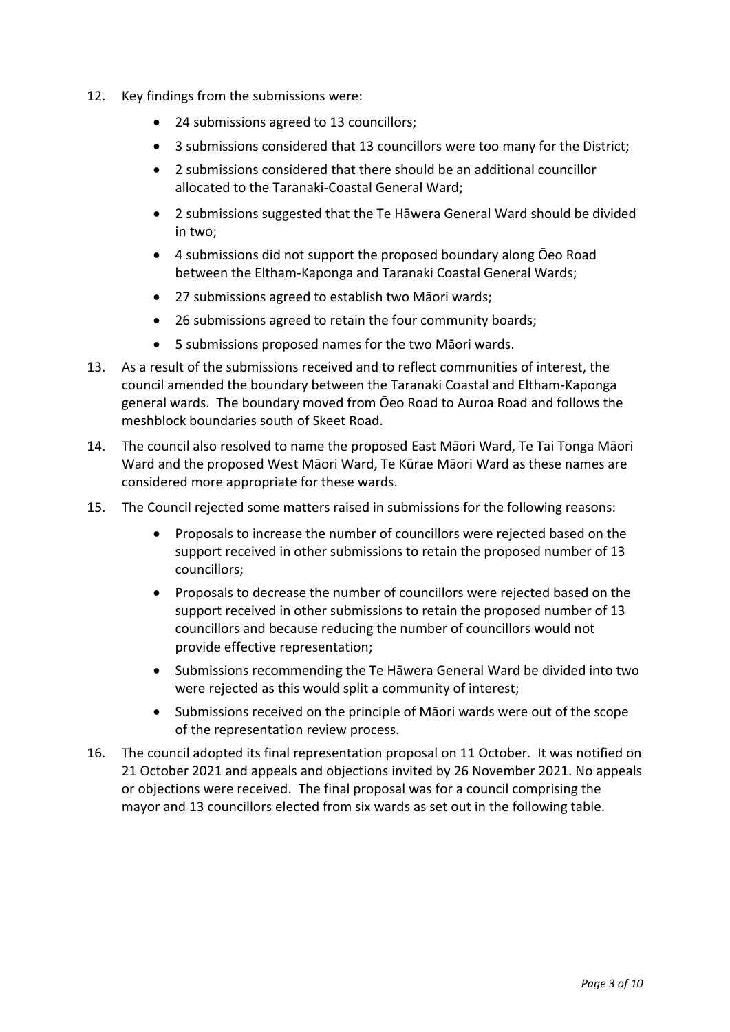- 12. Key findings from the submissions were:
	- 24 submissions agreed to 13 councillors;
	- 3 submissions considered that 13 councillors were too many for the District;
	- 2 submissions considered that there should be an additional councillor allocated to the Taranaki-Coastal General Ward;
	- 2 submissions suggested that the Te Hāwera General Ward should be divided in two;
	- 4 submissions did not support the proposed boundary along Ōeo Road between the Eltham-Kaponga and Taranaki Coastal General Wards;
	- 27 submissions agreed to establish two Māori wards;
	- 26 submissions agreed to retain the four community boards;
	- 5 submissions proposed names for the two Māori wards.
- 13. As a result of the submissions received and to reflect communities of interest, the council amended the boundary between the Taranaki Coastal and Eltham-Kaponga general wards. The boundary moved from Ōeo Road to Auroa Road and follows the meshblock boundaries south of Skeet Road.
- 14. The council also resolved to name the proposed East Māori Ward, Te Tai Tonga Māori Ward and the proposed West Māori Ward, Te Kūrae Māori Ward as these names are considered more appropriate for these wards.
- 15. The Council rejected some matters raised in submissions for the following reasons:
	- Proposals to increase the number of councillors were rejected based on the support received in other submissions to retain the proposed number of 13 councillors;
	- Proposals to decrease the number of councillors were rejected based on the support received in other submissions to retain the proposed number of 13 councillors and because reducing the number of councillors would not provide effective representation;
	- Submissions recommending the Te Hāwera General Ward be divided into two were rejected as this would split a community of interest;
	- Submissions received on the principle of Māori wards were out of the scope of the representation review process.
- 16. The council adopted its final representation proposal on 11 October. It was notified on 21 October 2021 and appeals and objections invited by 26 November 2021. No appeals or objections were received. The final proposal was for a council comprising the mayor and 13 councillors elected from six wards as set out in the following table.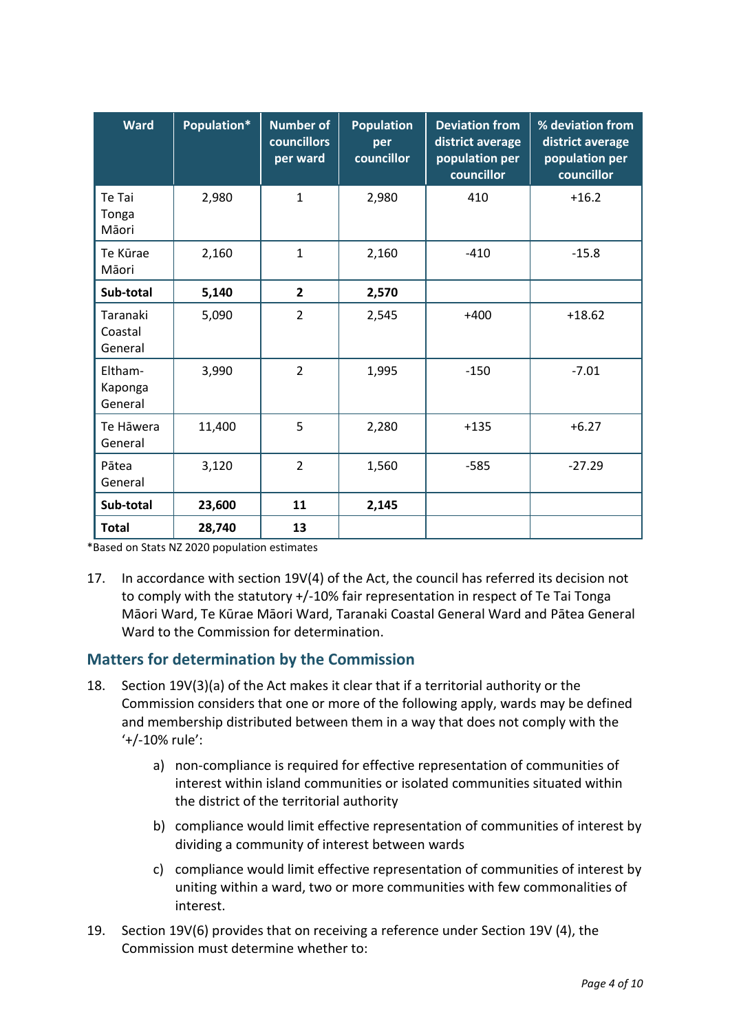| <b>Ward</b>                    | Population* | <b>Number of</b><br><b>councillors</b><br>per ward | <b>Population</b><br>per<br>councillor | <b>Deviation from</b><br>district average<br>population per<br>councillor | % deviation from<br>district average<br>population per<br>councillor |
|--------------------------------|-------------|----------------------------------------------------|----------------------------------------|---------------------------------------------------------------------------|----------------------------------------------------------------------|
| Te Tai<br>Tonga<br>Māori       | 2,980       | $\mathbf{1}$                                       | 2,980                                  | 410                                                                       | $+16.2$                                                              |
| Te Kūrae<br>Māori              | 2,160       | $\mathbf{1}$                                       | 2,160                                  | $-410$                                                                    | $-15.8$                                                              |
| Sub-total                      | 5,140       | $\overline{2}$                                     | 2,570                                  |                                                                           |                                                                      |
| Taranaki<br>Coastal<br>General | 5,090       | $\overline{2}$                                     | 2,545                                  | $+400$                                                                    | $+18.62$                                                             |
| Eltham-<br>Kaponga<br>General  | 3,990       | $\overline{2}$                                     | 1,995                                  | $-150$                                                                    | $-7.01$                                                              |
| Te Hāwera<br>General           | 11,400      | 5                                                  | 2,280                                  | $+135$                                                                    | $+6.27$                                                              |
| Pātea<br>General               | 3,120       | $\overline{2}$                                     | 1,560                                  | $-585$                                                                    | $-27.29$                                                             |
| Sub-total                      | 23,600      | 11                                                 | 2,145                                  |                                                                           |                                                                      |
| <b>Total</b>                   | 28,740      | 13                                                 |                                        |                                                                           |                                                                      |

\*Based on Stats NZ 2020 population estimates

17. In accordance with section 19V(4) of the Act, the council has referred its decision not to comply with the statutory +/-10% fair representation in respect of Te Tai Tonga Māori Ward, Te Kūrae Māori Ward, Taranaki Coastal General Ward and Pātea General Ward to the Commission for determination.

## **Matters for determination by the Commission**

- 18. Section 19V(3)(a) of the Act makes it clear that if a territorial authority or the Commission considers that one or more of the following apply, wards may be defined and membership distributed between them in a way that does not comply with the '+/-10% rule':
	- a) non-compliance is required for effective representation of communities of interest within island communities or isolated communities situated within the district of the territorial authority
	- b) compliance would limit effective representation of communities of interest by dividing a community of interest between wards
	- c) compliance would limit effective representation of communities of interest by uniting within a ward, two or more communities with few commonalities of interest.
- 19. Section 19V(6) provides that on receiving a reference under Section 19V (4), the Commission must determine whether to: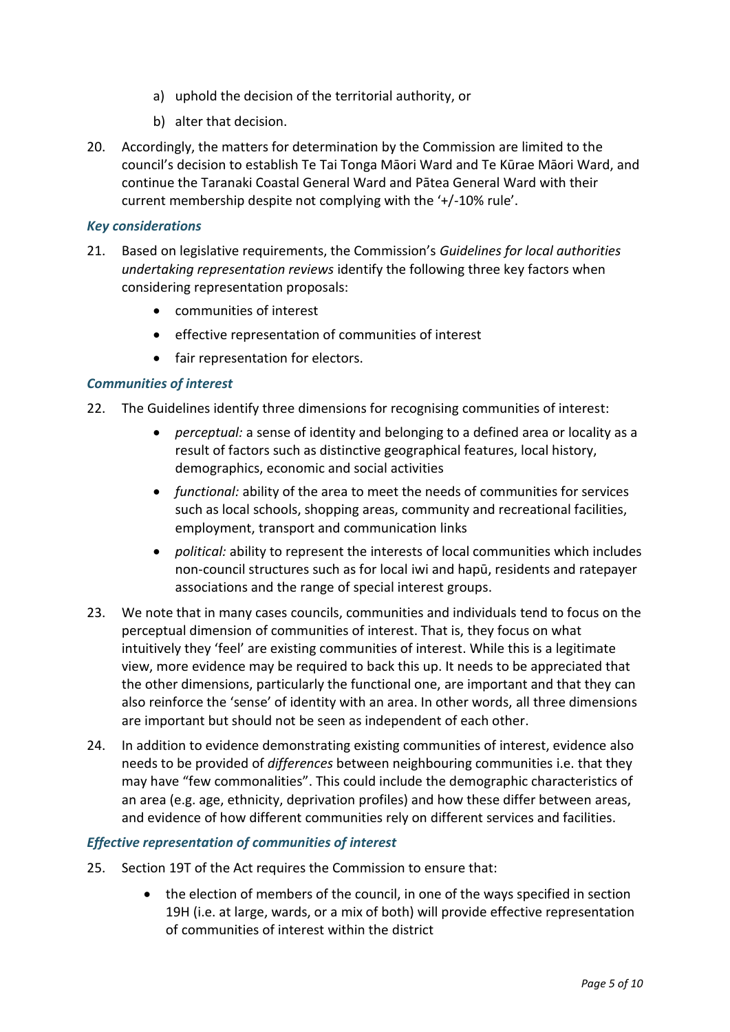- a) uphold the decision of the territorial authority, or
- b) alter that decision.
- 20. Accordingly, the matters for determination by the Commission are limited to the council's decision to establish Te Tai Tonga Māori Ward and Te Kūrae Māori Ward, and continue the Taranaki Coastal General Ward and Pātea General Ward with their current membership despite not complying with the '+/-10% rule'.

#### *Key considerations*

- 21. Based on legislative requirements, the Commission's *Guidelines for local authorities undertaking representation reviews* identify the following three key factors when considering representation proposals:
	- communities of interest
	- effective representation of communities of interest
	- fair representation for electors.

### *Communities of interest*

- 22. The Guidelines identify three dimensions for recognising communities of interest:
	- *perceptual:* a sense of identity and belonging to a defined area or locality as a result of factors such as distinctive geographical features, local history, demographics, economic and social activities
	- *functional:* ability of the area to meet the needs of communities for services such as local schools, shopping areas, community and recreational facilities, employment, transport and communication links
	- *political:* ability to represent the interests of local communities which includes non-council structures such as for local iwi and hapū, residents and ratepayer associations and the range of special interest groups.
- 23. We note that in many cases councils, communities and individuals tend to focus on the perceptual dimension of communities of interest. That is, they focus on what intuitively they 'feel' are existing communities of interest. While this is a legitimate view, more evidence may be required to back this up. It needs to be appreciated that the other dimensions, particularly the functional one, are important and that they can also reinforce the 'sense' of identity with an area. In other words, all three dimensions are important but should not be seen as independent of each other.
- 24. In addition to evidence demonstrating existing communities of interest, evidence also needs to be provided of *differences* between neighbouring communities i.e. that they may have "few commonalities". This could include the demographic characteristics of an area (e.g. age, ethnicity, deprivation profiles) and how these differ between areas, and evidence of how different communities rely on different services and facilities.

### *Effective representation of communities of interest*

- 25. Section 19T of the Act requires the Commission to ensure that:
	- the election of members of the council, in one of the ways specified in section 19H (i.e. at large, wards, or a mix of both) will provide effective representation of communities of interest within the district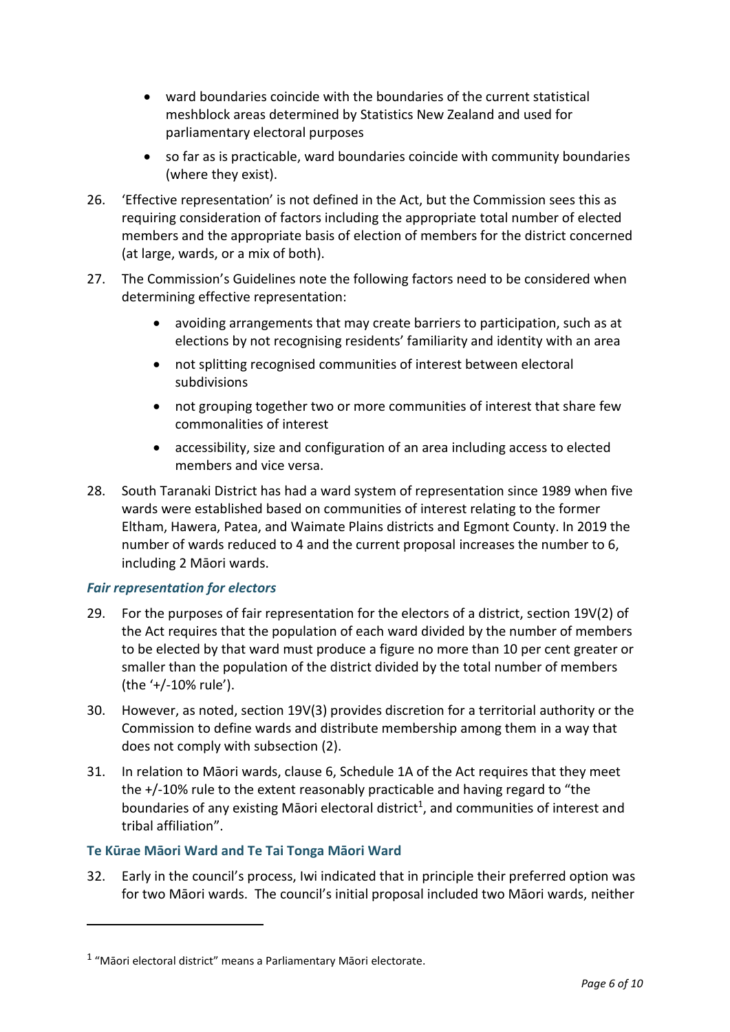- ward boundaries coincide with the boundaries of the current statistical meshblock areas determined by Statistics New Zealand and used for parliamentary electoral purposes
- so far as is practicable, ward boundaries coincide with community boundaries (where they exist).
- 26. 'Effective representation' is not defined in the Act, but the Commission sees this as requiring consideration of factors including the appropriate total number of elected members and the appropriate basis of election of members for the district concerned (at large, wards, or a mix of both).
- 27. The Commission's Guidelines note the following factors need to be considered when determining effective representation:
	- avoiding arrangements that may create barriers to participation, such as at elections by not recognising residents' familiarity and identity with an area
	- not splitting recognised communities of interest between electoral subdivisions
	- not grouping together two or more communities of interest that share few commonalities of interest
	- accessibility, size and configuration of an area including access to elected members and vice versa.
- 28. South Taranaki District has had a ward system of representation since 1989 when five wards were established based on communities of interest relating to the former Eltham, Hawera, Patea, and Waimate Plains districts and Egmont County. In 2019 the number of wards reduced to 4 and the current proposal increases the number to 6, including 2 Māori wards.

## *Fair representation for electors*

 $\overline{a}$ 

- 29. For the purposes of fair representation for the electors of a district, section 19V(2) of the Act requires that the population of each ward divided by the number of members to be elected by that ward must produce a figure no more than 10 per cent greater or smaller than the population of the district divided by the total number of members (the '+/-10% rule').
- 30. However, as noted, section 19V(3) provides discretion for a territorial authority or the Commission to define wards and distribute membership among them in a way that does not comply with subsection (2).
- 31. In relation to Māori wards, clause 6, Schedule 1A of the Act requires that they meet the +/-10% rule to the extent reasonably practicable and having regard to "the boundaries of any existing Māori electoral district<sup>1</sup>, and communities of interest and tribal affiliation".

## **Te Kūrae Māori Ward and Te Tai Tonga Māori Ward**

32. Early in the council's process, Iwi indicated that in principle their preferred option was for two Māori wards. The council's initial proposal included two Māori wards, neither

 $1$  "Māori electoral district" means a Parliamentary Māori electorate.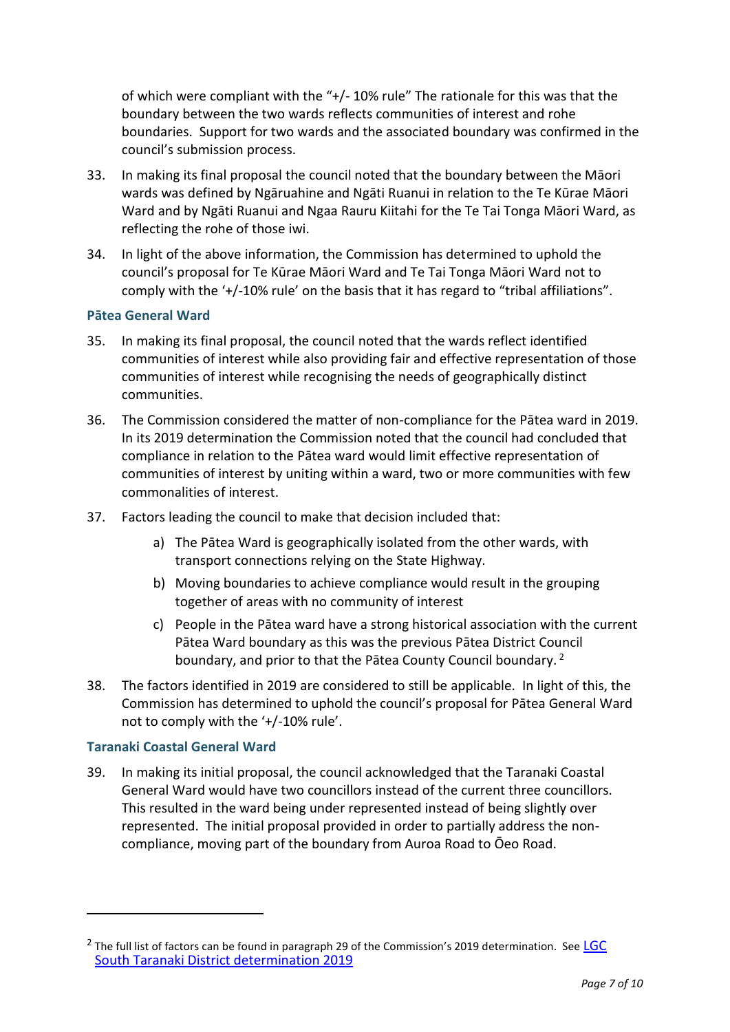of which were compliant with the "+/- 10% rule" The rationale for this was that the boundary between the two wards reflects communities of interest and rohe boundaries. Support for two wards and the associated boundary was confirmed in the council's submission process.

- 33. In making its final proposal the council noted that the boundary between the Māori wards was defined by Ngāruahine and Ngāti Ruanui in relation to the Te Kūrae Māori Ward and by Ngāti Ruanui and Ngaa Rauru Kiitahi for the Te Tai Tonga Māori Ward, as reflecting the rohe of those iwi.
- 34. In light of the above information, the Commission has determined to uphold the council's proposal for Te Kūrae Māori Ward and Te Tai Tonga Māori Ward not to comply with the '+/-10% rule' on the basis that it has regard to "tribal affiliations".

### **Pātea General Ward**

- 35. In making its final proposal, the council noted that the wards reflect identified communities of interest while also providing fair and effective representation of those communities of interest while recognising the needs of geographically distinct communities.
- 36. The Commission considered the matter of non-compliance for the Pātea ward in 2019. In its 2019 determination the Commission noted that the council had concluded that compliance in relation to the Pātea ward would limit effective representation of communities of interest by uniting within a ward, two or more communities with few commonalities of interest.
- 37. Factors leading the council to make that decision included that:
	- a) The Pātea Ward is geographically isolated from the other wards, with transport connections relying on the State Highway.
	- b) Moving boundaries to achieve compliance would result in the grouping together of areas with no community of interest
	- c) People in the Pātea ward have a strong historical association with the current Pātea Ward boundary as this was the previous Pātea District Council boundary, and prior to that the Pātea County Council boundary.<sup>2</sup>
- 38. The factors identified in 2019 are considered to still be applicable. In light of this, the Commission has determined to uphold the council's proposal for Pātea General Ward not to comply with the '+/-10% rule'.

### **Taranaki Coastal General Ward**

 $\overline{a}$ 

39. In making its initial proposal, the council acknowledged that the Taranaki Coastal General Ward would have two councillors instead of the current three councillors. This resulted in the ward being under represented instead of being slightly over represented. The initial proposal provided in order to partially address the noncompliance, moving part of the boundary from Auroa Road to Ōeo Road.

<sup>&</sup>lt;sup>2</sup> The full list of factors can be found in paragraph 29 of the Commission's 2019 determination. See  $\underline{\mathsf{LGC}}$ [South Taranaki District determination 2019](https://www.lgc.govt.nz/assets/Uploads/LGC-determination-South-Taranaki-DC2.pdf)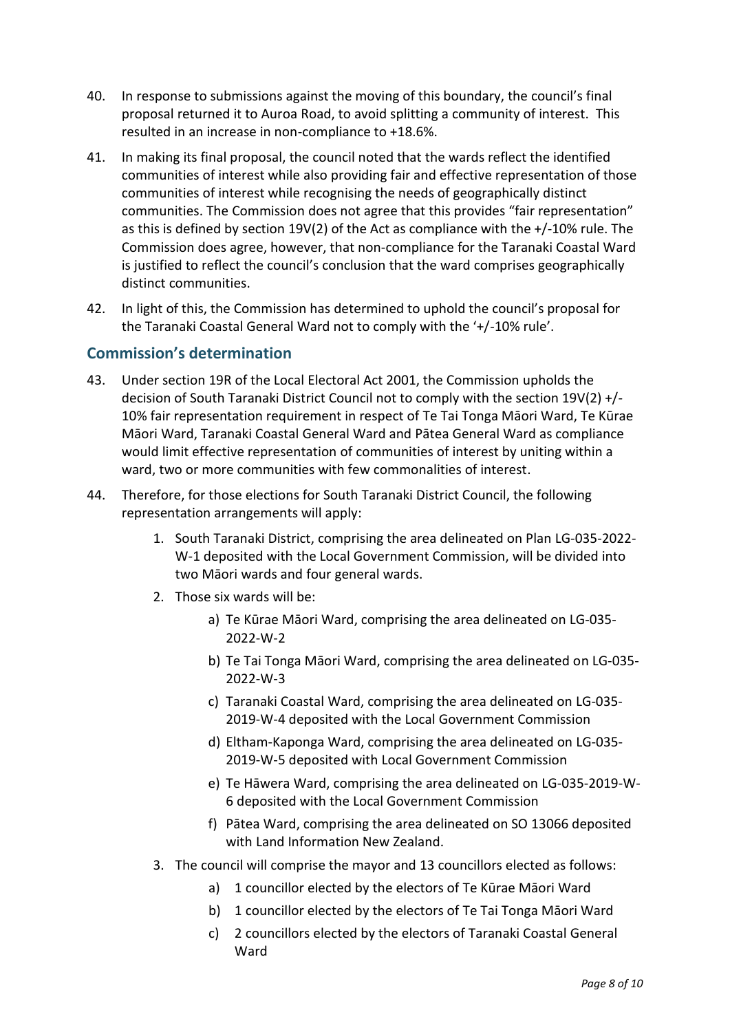- 40. In response to submissions against the moving of this boundary, the council's final proposal returned it to Auroa Road, to avoid splitting a community of interest. This resulted in an increase in non-compliance to +18.6%.
- 41. In making its final proposal, the council noted that the wards reflect the identified communities of interest while also providing fair and effective representation of those communities of interest while recognising the needs of geographically distinct communities. The Commission does not agree that this provides "fair representation" as this is defined by section 19V(2) of the Act as compliance with the +/-10% rule. The Commission does agree, however, that non-compliance for the Taranaki Coastal Ward is justified to reflect the council's conclusion that the ward comprises geographically distinct communities.
- 42. In light of this, the Commission has determined to uphold the council's proposal for the Taranaki Coastal General Ward not to comply with the '+/-10% rule'.

## **Commission's determination**

- 43. Under section 19R of the Local Electoral Act 2001, the Commission upholds the decision of South Taranaki District Council not to comply with the section 19V(2) +/- 10% fair representation requirement in respect of Te Tai Tonga Māori Ward, Te Kūrae Māori Ward, Taranaki Coastal General Ward and Pātea General Ward as compliance would limit effective representation of communities of interest by uniting within a ward, two or more communities with few commonalities of interest.
- 44. Therefore, for those elections for South Taranaki District Council, the following representation arrangements will apply:
	- 1. South Taranaki District, comprising the area delineated on Plan LG-035-2022- W-1 deposited with the Local Government Commission, will be divided into two Māori wards and four general wards.
	- 2. Those six wards will be:
		- a) Te Kūrae Māori Ward, comprising the area delineated on LG-035- 2022-W-2
		- b) Te Tai Tonga Māori Ward, comprising the area delineated on LG-035- 2022-W-3
		- c) Taranaki Coastal Ward, comprising the area delineated on LG-035- 2019-W-4 deposited with the Local Government Commission
		- d) Eltham-Kaponga Ward, comprising the area delineated on LG-035- 2019-W-5 deposited with Local Government Commission
		- e) Te Hāwera Ward, comprising the area delineated on LG-035-2019-W-6 deposited with the Local Government Commission
		- f) Pātea Ward, comprising the area delineated on SO 13066 deposited with Land Information New Zealand.
	- 3. The council will comprise the mayor and 13 councillors elected as follows:
		- a) 1 councillor elected by the electors of Te Kūrae Māori Ward
		- b) 1 councillor elected by the electors of Te Tai Tonga Māori Ward
		- c) 2 councillors elected by the electors of Taranaki Coastal General **Ward**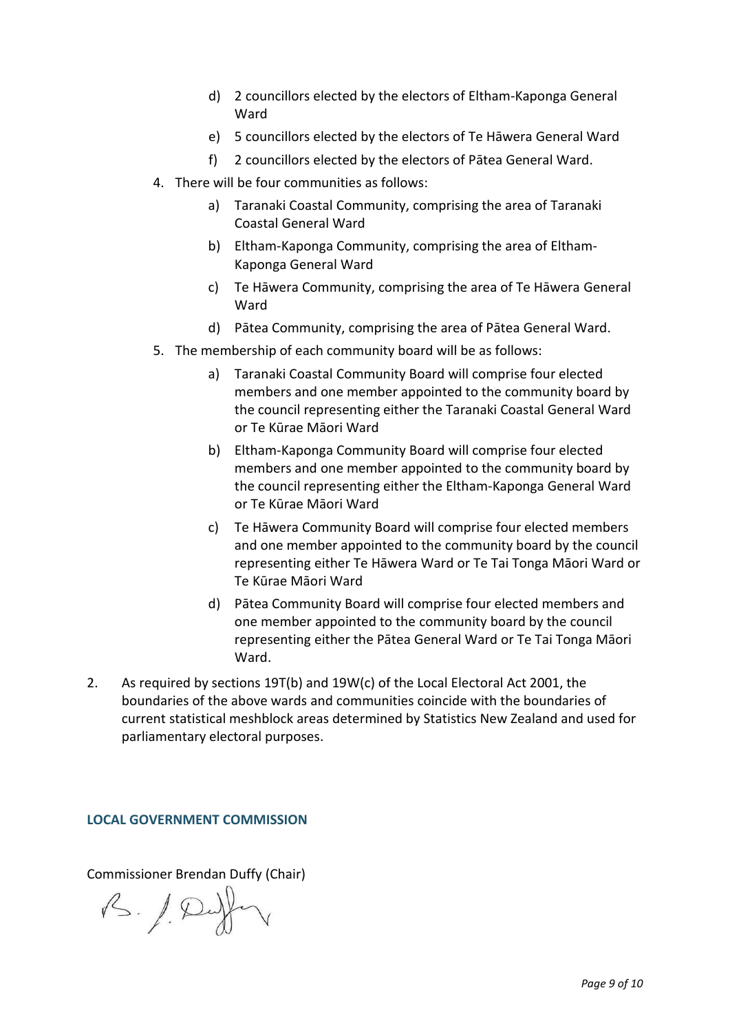- d) 2 councillors elected by the electors of Eltham-Kaponga General Ward
- e) 5 councillors elected by the electors of Te Hāwera General Ward
- f) 2 councillors elected by the electors of Pātea General Ward.
- 4. There will be four communities as follows:
	- a) Taranaki Coastal Community, comprising the area of Taranaki Coastal General Ward
	- b) Eltham-Kaponga Community, comprising the area of Eltham-Kaponga General Ward
	- c) Te Hāwera Community, comprising the area of Te Hāwera General **Ward**
	- d) Pātea Community, comprising the area of Pātea General Ward.
- 5. The membership of each community board will be as follows:
	- a) Taranaki Coastal Community Board will comprise four elected members and one member appointed to the community board by the council representing either the Taranaki Coastal General Ward or Te Kūrae Māori Ward
	- b) Eltham-Kaponga Community Board will comprise four elected members and one member appointed to the community board by the council representing either the Eltham-Kaponga General Ward or Te Kūrae Māori Ward
	- c) Te Hāwera Community Board will comprise four elected members and one member appointed to the community board by the council representing either Te Hāwera Ward or Te Tai Tonga Māori Ward or Te Kūrae Māori Ward
	- d) Pātea Community Board will comprise four elected members and one member appointed to the community board by the council representing either the Pātea General Ward or Te Tai Tonga Māori Ward.
- 2. As required by sections 19T(b) and 19W(c) of the Local Electoral Act 2001, the boundaries of the above wards and communities coincide with the boundaries of current statistical meshblock areas determined by Statistics New Zealand and used for parliamentary electoral purposes.

### **LOCAL GOVERNMENT COMMISSION**

Commissioner Brendan Duffy (Chair)

B. / Duffer